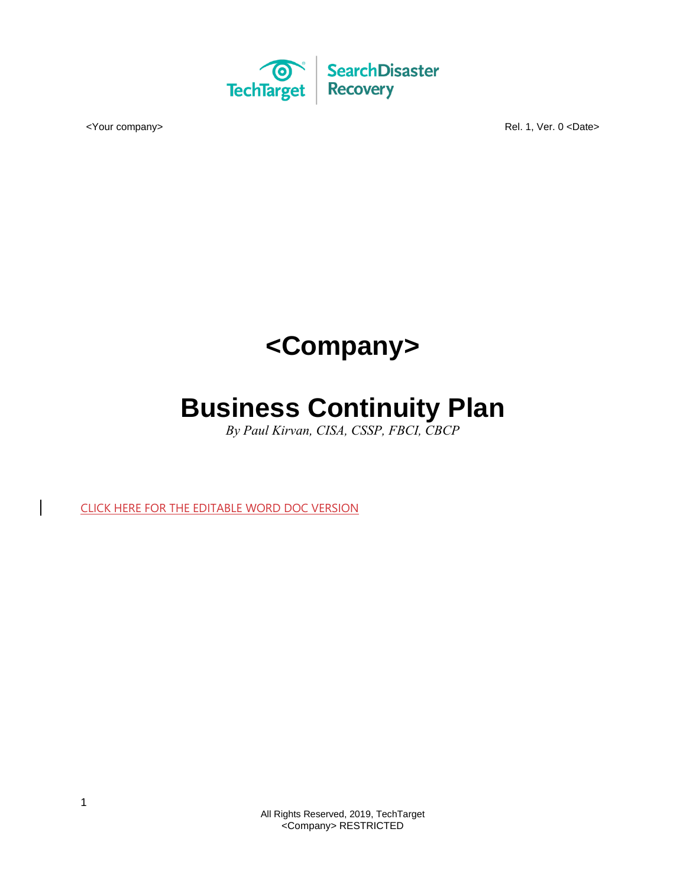

# **<Company>**

# **Business Continuity Plan**

*By Paul Kirvan, CISA, CSSP, FBCI, CBCP*

[CLICK HERE FOR THE EDITABLE WORD DOC VERSION](https://cdn.ttgtmedia.com/rms/editorial/SearchDisasterRecovery_business_continuity_plan_template.docx)

1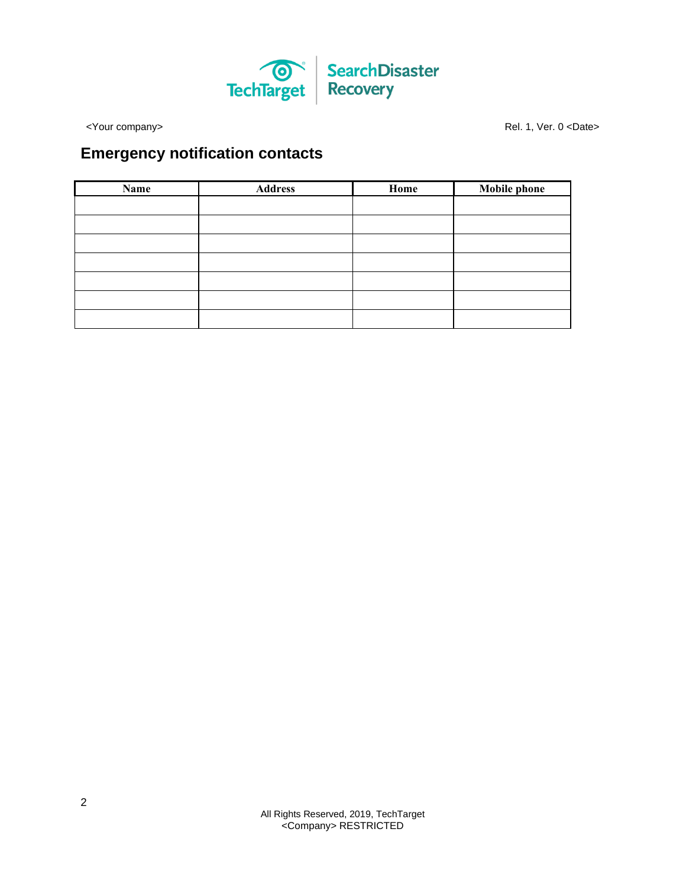

<Your company>
Rel. 1, Ver. 0 <Date>
Rel. 1, Ver. 0 <Date>
Rel. 1, Ver. 0 <Date>
Rel. 1, Ver. 0 <Date>
Rel. 1, Ver. 0 <Date>
Rel. 1, Ver. 0 <Date>
Rel. 1, Ver. 0 <Date>
Rel. 1, Ver. 0 <Date>
Rel. 1, Ver. 0 <Date>

# **Emergency notification contacts**

| Name | <b>Address</b> | Home | <b>Mobile phone</b> |
|------|----------------|------|---------------------|
|      |                |      |                     |
|      |                |      |                     |
|      |                |      |                     |
|      |                |      |                     |
|      |                |      |                     |
|      |                |      |                     |
|      |                |      |                     |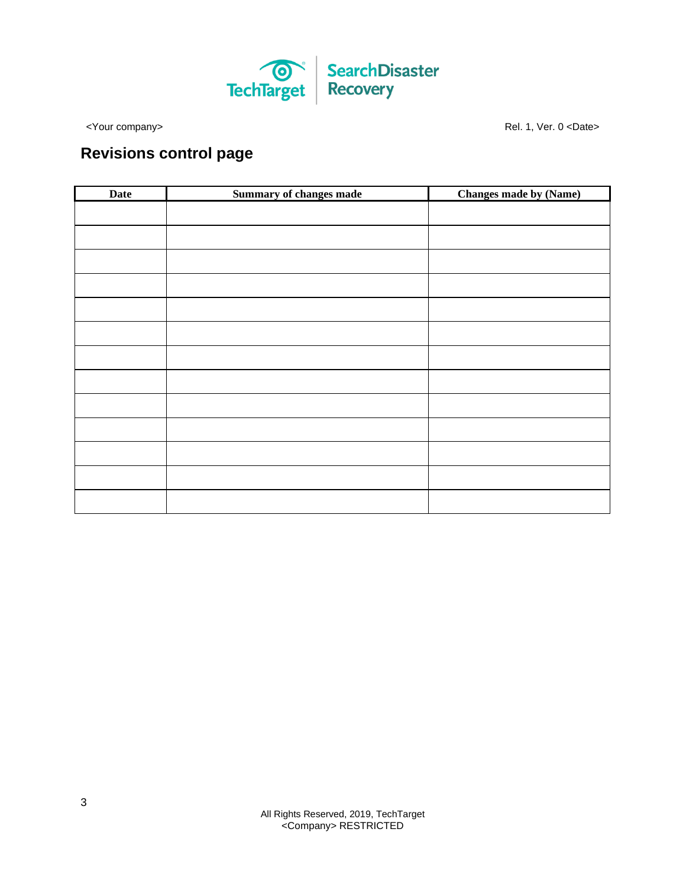

<Your company>
Rel. 1, Ver. 0 <Date>
Rel. 1, Ver. 0 <Date>
Rel. 1, Ver. 0 <Date>
Rel. 1, Ver. 0 <Date>
Rel. 1, Ver. 0 <Date>
Rel. 1, Ver. 0 <Date>
Rel. 1, Ver. 0 <Date>
Rel. 1, Ver. 0 <Date>
Rel. 1, Ver. 0 <Date>

# **Revisions control page**

| <b>Date</b> | <b>Summary of changes made</b> | <b>Changes made by (Name)</b> |
|-------------|--------------------------------|-------------------------------|
|             |                                |                               |
|             |                                |                               |
|             |                                |                               |
|             |                                |                               |
|             |                                |                               |
|             |                                |                               |
|             |                                |                               |
|             |                                |                               |
|             |                                |                               |
|             |                                |                               |
|             |                                |                               |
|             |                                |                               |
|             |                                |                               |
|             |                                |                               |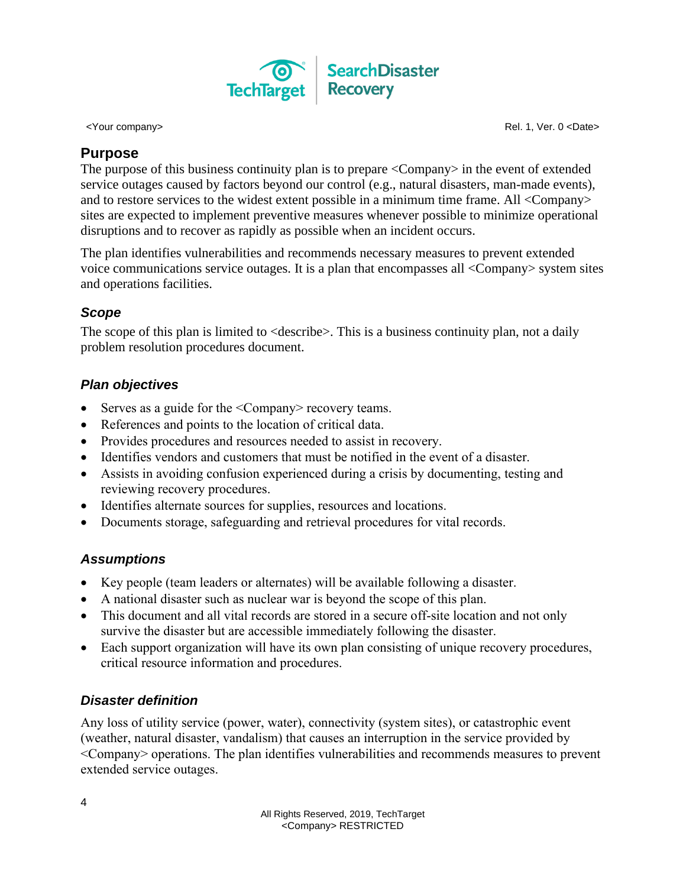

# **Purpose**

The purpose of this business continuity plan is to prepare <Company> in the event of extended service outages caused by factors beyond our control (e.g., natural disasters, man-made events), and to restore services to the widest extent possible in a minimum time frame. All <Company> sites are expected to implement preventive measures whenever possible to minimize operational disruptions and to recover as rapidly as possible when an incident occurs.

The plan identifies vulnerabilities and recommends necessary measures to prevent extended voice communications service outages. It is a plan that encompasses all <Company> system sites and operations facilities.

# *Scope*

The scope of this plan is limited to <describe>. This is a business continuity plan, not a daily problem resolution procedures document.

# *Plan objectives*

- Serves as a guide for the <Company> recovery teams.
- References and points to the location of critical data.
- Provides procedures and resources needed to assist in recovery.
- Identifies vendors and customers that must be notified in the event of a disaster.
- Assists in avoiding confusion experienced during a crisis by documenting, testing and reviewing recovery procedures.
- Identifies alternate sources for supplies, resources and locations.
- Documents storage, safeguarding and retrieval procedures for vital records.

# *Assumptions*

- Key people (team leaders or alternates) will be available following a disaster.
- A national disaster such as nuclear war is beyond the scope of this plan.
- This document and all vital records are stored in a secure off-site location and not only survive the disaster but are accessible immediately following the disaster.
- Each support organization will have its own plan consisting of unique recovery procedures, critical resource information and procedures.

# *Disaster definition*

Any loss of utility service (power, water), connectivity (system sites), or catastrophic event (weather, natural disaster, vandalism) that causes an interruption in the service provided by <Company> operations. The plan identifies vulnerabilities and recommends measures to prevent extended service outages.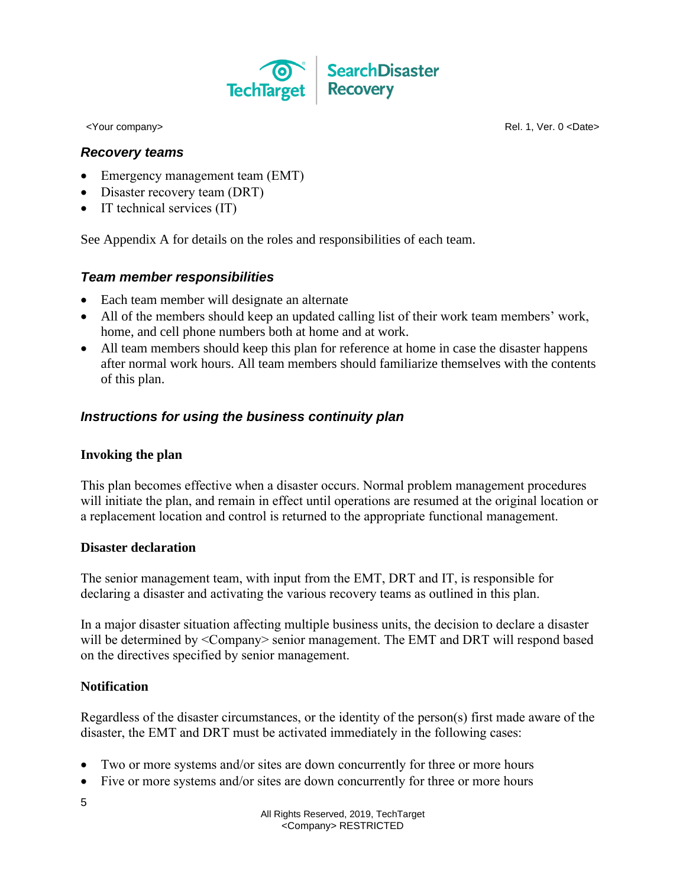

*Recovery teams*

<Your company> Rel. 1, Ver. 0 <Date>

- Emergency management team (EMT)
- Disaster recovery team (DRT)
- IT technical services (IT)

See Appendix A for details on the roles and responsibilities of each team.

#### *Team member responsibilities*

- Each team member will designate an alternate
- All of the members should keep an updated calling list of their work team members' work, home, and cell phone numbers both at home and at work.
- All team members should keep this plan for reference at home in case the disaster happens after normal work hours. All team members should familiarize themselves with the contents of this plan.

# *Instructions for using the business continuity plan*

#### **Invoking the plan**

This plan becomes effective when a disaster occurs. Normal problem management procedures will initiate the plan, and remain in effect until operations are resumed at the original location or a replacement location and control is returned to the appropriate functional management.

#### **Disaster declaration**

The senior management team, with input from the EMT, DRT and IT, is responsible for declaring a disaster and activating the various recovery teams as outlined in this plan.

In a major disaster situation affecting multiple business units, the decision to declare a disaster will be determined by <Company> senior management. The EMT and DRT will respond based on the directives specified by senior management.

# **Notification**

Regardless of the disaster circumstances, or the identity of the person(s) first made aware of the disaster, the EMT and DRT must be activated immediately in the following cases:

- Two or more systems and/or sites are down concurrently for three or more hours
- Five or more systems and/or sites are down concurrently for three or more hours
- 5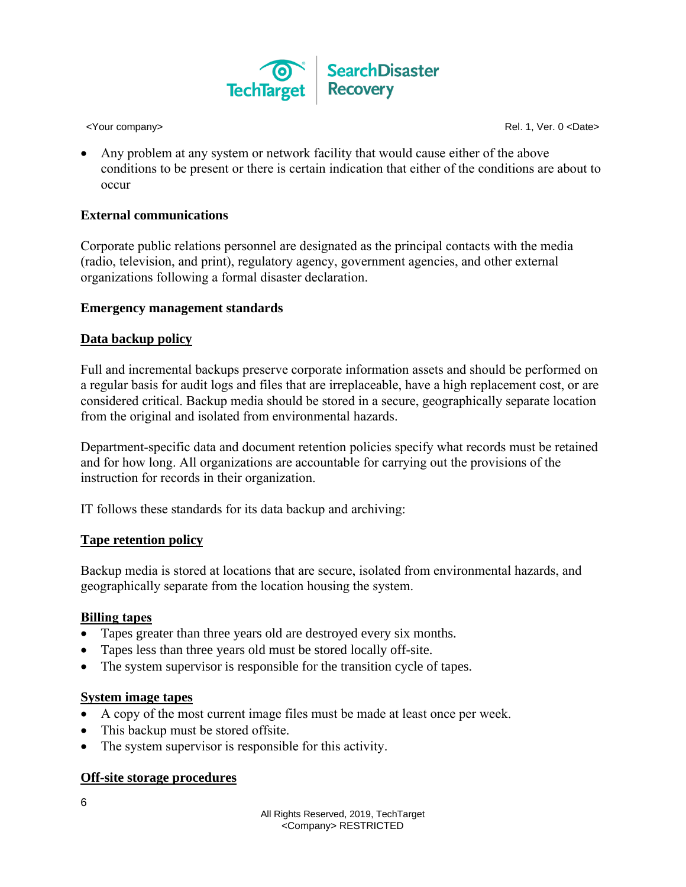

• Any problem at any system or network facility that would cause either of the above conditions to be present or there is certain indication that either of the conditions are about to occur

# **External communications**

Corporate public relations personnel are designated as the principal contacts with the media (radio, television, and print), regulatory agency, government agencies, and other external organizations following a formal disaster declaration.

#### **Emergency management standards**

#### **Data backup policy**

Full and incremental backups preserve corporate information assets and should be performed on a regular basis for audit logs and files that are irreplaceable, have a high replacement cost, or are considered critical. Backup media should be stored in a secure, geographically separate location from the original and isolated from environmental hazards.

Department-specific data and document retention policies specify what records must be retained and for how long. All organizations are accountable for carrying out the provisions of the instruction for records in their organization.

IT follows these standards for its data backup and archiving:

#### **Tape retention policy**

Backup media is stored at locations that are secure, isolated from environmental hazards, and geographically separate from the location housing the system.

#### **Billing tapes**

- Tapes greater than three years old are destroyed every six months.
- Tapes less than three years old must be stored locally off-site.
- The system supervisor is responsible for the transition cycle of tapes.

#### **System image tapes**

- A copy of the most current image files must be made at least once per week.
- This backup must be stored offsite.
- The system supervisor is responsible for this activity.

#### **Off-site storage procedures**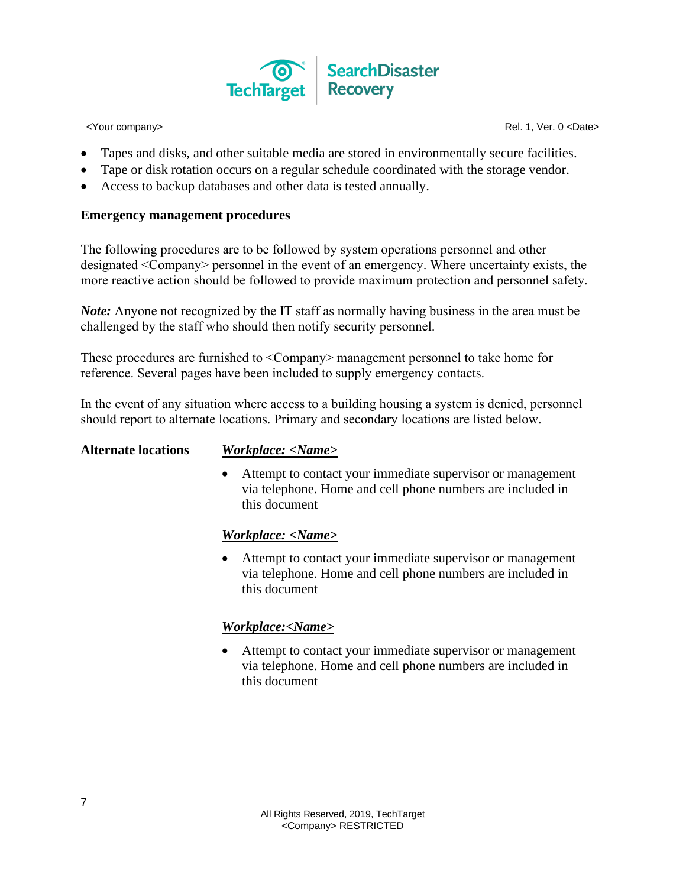

- Tapes and disks, and other suitable media are stored in environmentally secure facilities.
- Tape or disk rotation occurs on a regular schedule coordinated with the storage vendor.
- Access to backup databases and other data is tested annually.

# **Emergency management procedures**

The following procedures are to be followed by system operations personnel and other designated <Company> personnel in the event of an emergency. Where uncertainty exists, the more reactive action should be followed to provide maximum protection and personnel safety.

*Note:* Anyone not recognized by the IT staff as normally having business in the area must be challenged by the staff who should then notify security personnel.

These procedures are furnished to <Company> management personnel to take home for reference. Several pages have been included to supply emergency contacts.

In the event of any situation where access to a building housing a system is denied, personnel should report to alternate locations. Primary and secondary locations are listed below.

| <b>Alternate locations</b> | <i>Workplace: <name></name></i>                                                                                                                        |  |  |
|----------------------------|--------------------------------------------------------------------------------------------------------------------------------------------------------|--|--|
|                            | Attempt to contact your immediate supervisor or management<br>$\bullet$<br>via telephone. Home and cell phone numbers are included in<br>this document |  |  |
|                            | <i>Workplace: <name></name></i>                                                                                                                        |  |  |

• Attempt to contact your immediate supervisor or management via telephone. Home and cell phone numbers are included in this document

# *Workplace:<Name>*

• Attempt to contact your immediate supervisor or management via telephone. Home and cell phone numbers are included in this document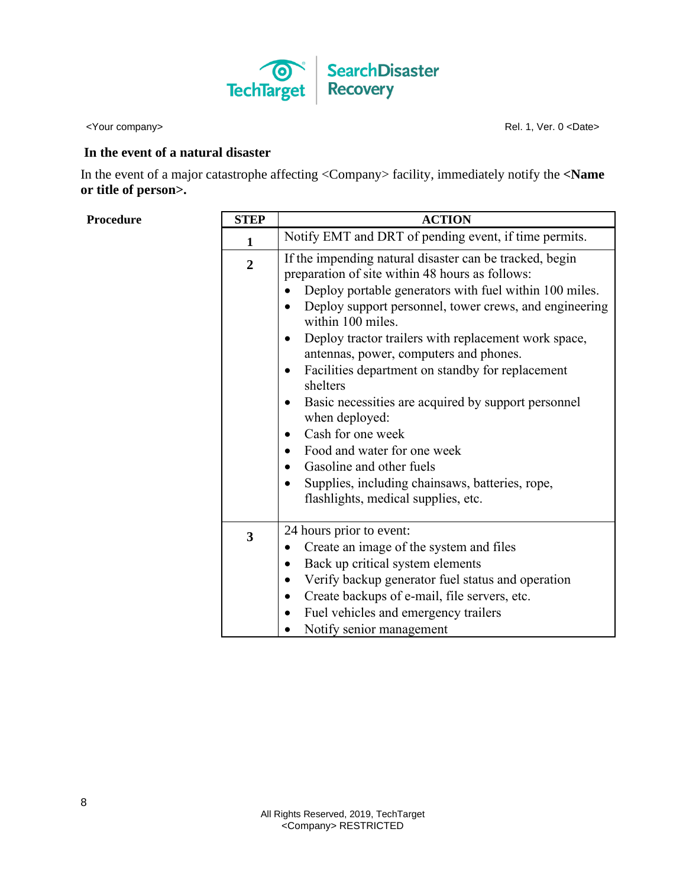

<Your company>
Rel. 1, Ver. 0 <Date>
Rel. 1, Ver. 0 <Date>
Rel. 1, Ver. 0 <Date>
Rel. 1, Ver. 0 <Date>
Rel. 1, Ver. 0 <Date>
Rel. 1, Ver. 0 <Date>
Rel. 1, Ver. 0 <Date>
Rel. 1, Ver. 0 <Date>
Rel. 1, Ver. 0 <Date>

#### **In the event of a natural disaster**

In the event of a major catastrophe affecting <Company> facility, immediately notify the **<Name or title of person>.**

| Procedure | <b>STEP</b>    | <b>ACTION</b>                                                                                                                                                                                                                                                                                                                                                                                                                                                                                                                                                                                                                                                                                                                             |
|-----------|----------------|-------------------------------------------------------------------------------------------------------------------------------------------------------------------------------------------------------------------------------------------------------------------------------------------------------------------------------------------------------------------------------------------------------------------------------------------------------------------------------------------------------------------------------------------------------------------------------------------------------------------------------------------------------------------------------------------------------------------------------------------|
|           | $\mathbf{1}$   | Notify EMT and DRT of pending event, if time permits.                                                                                                                                                                                                                                                                                                                                                                                                                                                                                                                                                                                                                                                                                     |
|           | $\overline{2}$ | If the impending natural disaster can be tracked, begin<br>preparation of site within 48 hours as follows:<br>Deploy portable generators with fuel within 100 miles.<br>Deploy support personnel, tower crews, and engineering<br>$\bullet$<br>within 100 miles.<br>Deploy tractor trailers with replacement work space,<br>$\bullet$<br>antennas, power, computers and phones.<br>Facilities department on standby for replacement<br>$\bullet$<br>shelters<br>Basic necessities are acquired by support personnel<br>$\bullet$<br>when deployed:<br>Cash for one week<br>Food and water for one week<br>$\bullet$<br>Gasoline and other fuels<br>Supplies, including chainsaws, batteries, rope,<br>flashlights, medical supplies, etc. |
|           | $\overline{3}$ | 24 hours prior to event:<br>Create an image of the system and files<br>٠<br>Back up critical system elements<br>$\bullet$<br>Verify backup generator fuel status and operation<br>$\bullet$<br>Create backups of e-mail, file servers, etc.<br>$\bullet$<br>Fuel vehicles and emergency trailers<br>$\bullet$<br>Notify senior management                                                                                                                                                                                                                                                                                                                                                                                                 |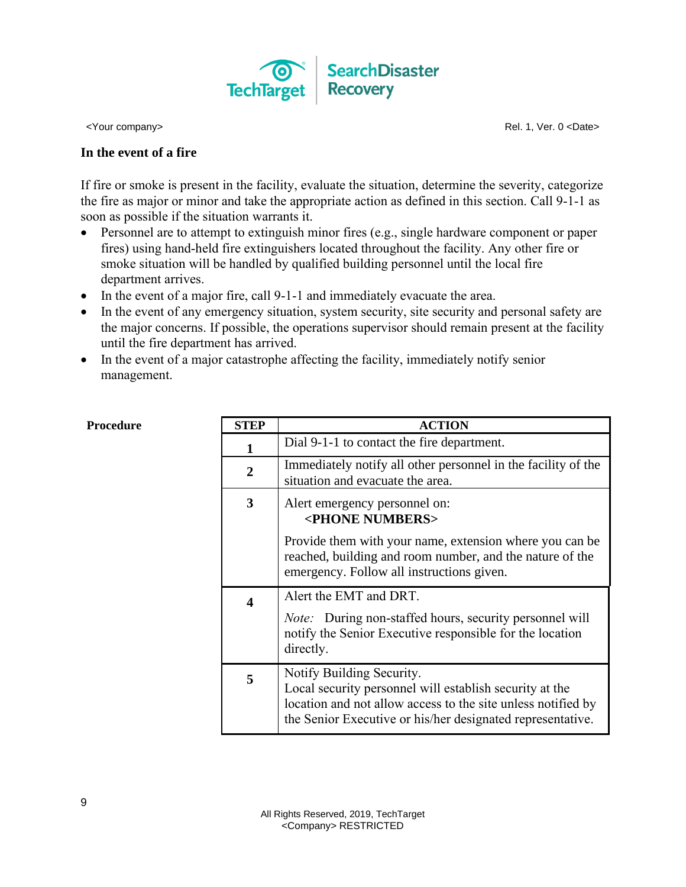

 $$ 

<Your company> Rel. 1, Ver. 0 <Date>

#### **In the event of a fire**

If fire or smoke is present in the facility, evaluate the situation, determine the severity, categorize the fire as major or minor and take the appropriate action as defined in this section. Call 9-1-1 as soon as possible if the situation warrants it.

- Personnel are to attempt to extinguish minor fires (e.g., single hardware component or paper fires) using hand-held fire extinguishers located throughout the facility. Any other fire or smoke situation will be handled by qualified building personnel until the local fire department arrives.
- In the event of a major fire, call 9-1-1 and immediately evacuate the area.
- In the event of any emergency situation, system security, site security and personal safety are the major concerns. If possible, the operations supervisor should remain present at the facility until the fire department has arrived.
- In the event of a major catastrophe affecting the facility, immediately notify senior management.

| <b>STEP</b>           | <b>ACTION</b>                                                                                                                                                                                                      |  |  |
|-----------------------|--------------------------------------------------------------------------------------------------------------------------------------------------------------------------------------------------------------------|--|--|
| 1                     | Dial 9-1-1 to contact the fire department.                                                                                                                                                                         |  |  |
| $\overline{2}$        | Immediately notify all other personnel in the facility of the<br>situation and evacuate the area.                                                                                                                  |  |  |
| 3                     | Alert emergency personnel on:<br><phone numbers=""></phone>                                                                                                                                                        |  |  |
|                       | Provide them with your name, extension where you can be<br>reached, building and room number, and the nature of the<br>emergency. Follow all instructions given.                                                   |  |  |
| $\boldsymbol{\Delta}$ | Alert the EMT and DRT.<br><i>Note:</i> During non-staffed hours, security personnel will<br>notify the Senior Executive responsible for the location<br>directly.                                                  |  |  |
| 5                     | Notify Building Security.<br>Local security personnel will establish security at the<br>location and not allow access to the site unless notified by<br>the Senior Executive or his/her designated representative. |  |  |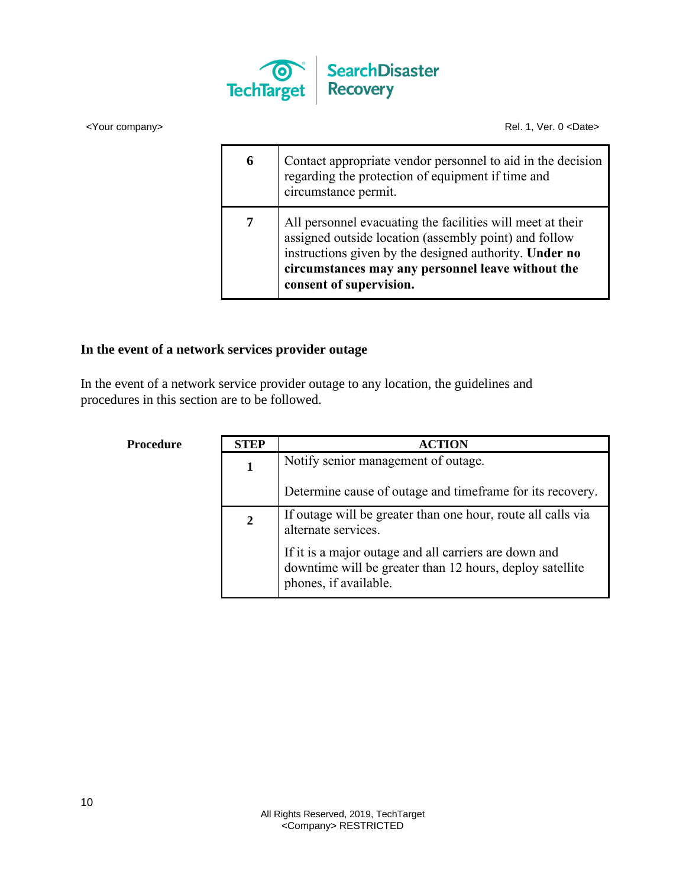

| 6 | Contact appropriate vendor personnel to aid in the decision<br>regarding the protection of equipment if time and<br>circumstance permit.                                                                                                                      |
|---|---------------------------------------------------------------------------------------------------------------------------------------------------------------------------------------------------------------------------------------------------------------|
|   | All personnel evacuating the facilities will meet at their<br>assigned outside location (assembly point) and follow<br>instructions given by the designed authority. Under no<br>circumstances may any personnel leave without the<br>consent of supervision. |

# **In the event of a network services provider outage**

In the event of a network service provider outage to any location, the guidelines and procedures in this section are to be followed.

| Procedure | <b>STEP</b>    | <b>ACTION</b>                                                                                                                              |  |  |
|-----------|----------------|--------------------------------------------------------------------------------------------------------------------------------------------|--|--|
|           | 1              | Notify senior management of outage.                                                                                                        |  |  |
|           |                | Determine cause of outage and timeframe for its recovery.                                                                                  |  |  |
|           | $\overline{2}$ | If outage will be greater than one hour, route all calls via<br>alternate services.                                                        |  |  |
|           |                | If it is a major outage and all carriers are down and<br>downtime will be greater than 12 hours, deploy satellite<br>phones, if available. |  |  |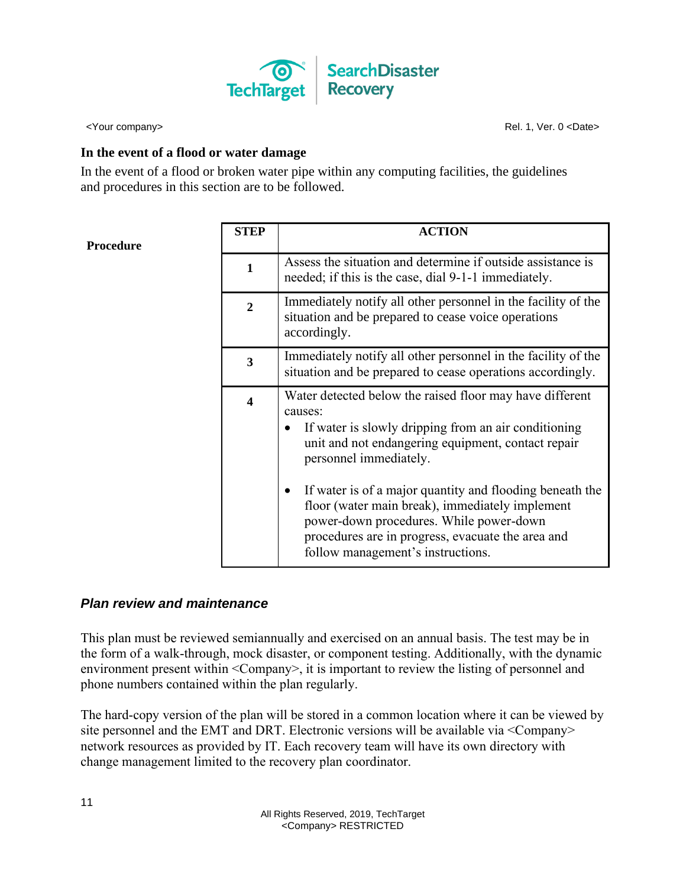

#### **In the event of a flood or water damage**

In the event of a flood or broken water pipe within any computing facilities, the guidelines and procedures in this section are to be followed.

|                  | STEP                    | <b>ACTION</b>                                                                                                                                                                                                                                    |  |
|------------------|-------------------------|--------------------------------------------------------------------------------------------------------------------------------------------------------------------------------------------------------------------------------------------------|--|
| <b>Procedure</b> |                         |                                                                                                                                                                                                                                                  |  |
|                  | 1                       | Assess the situation and determine if outside assistance is<br>needed; if this is the case, dial 9-1-1 immediately.                                                                                                                              |  |
|                  | $\overline{2}$          | Immediately notify all other personnel in the facility of the<br>situation and be prepared to cease voice operations<br>accordingly.                                                                                                             |  |
|                  | 3                       | Immediately notify all other personnel in the facility of the<br>situation and be prepared to cease operations accordingly.                                                                                                                      |  |
|                  | $\overline{\mathbf{4}}$ | Water detected below the raised floor may have different<br>causes:<br>If water is slowly dripping from an air conditioning<br>unit and not endangering equipment, contact repair<br>personnel immediately.                                      |  |
|                  |                         | If water is of a major quantity and flooding beneath the<br>floor (water main break), immediately implement<br>power-down procedures. While power-down<br>procedures are in progress, evacuate the area and<br>follow management's instructions. |  |

# *Plan review and maintenance*

This plan must be reviewed semiannually and exercised on an annual basis. The test may be in the form of a walk-through, mock disaster, or component testing. Additionally, with the dynamic environment present within <Company>, it is important to review the listing of personnel and phone numbers contained within the plan regularly.

The hard-copy version of the plan will be stored in a common location where it can be viewed by site personnel and the EMT and DRT. Electronic versions will be available via <Company> network resources as provided by IT. Each recovery team will have its own directory with change management limited to the recovery plan coordinator.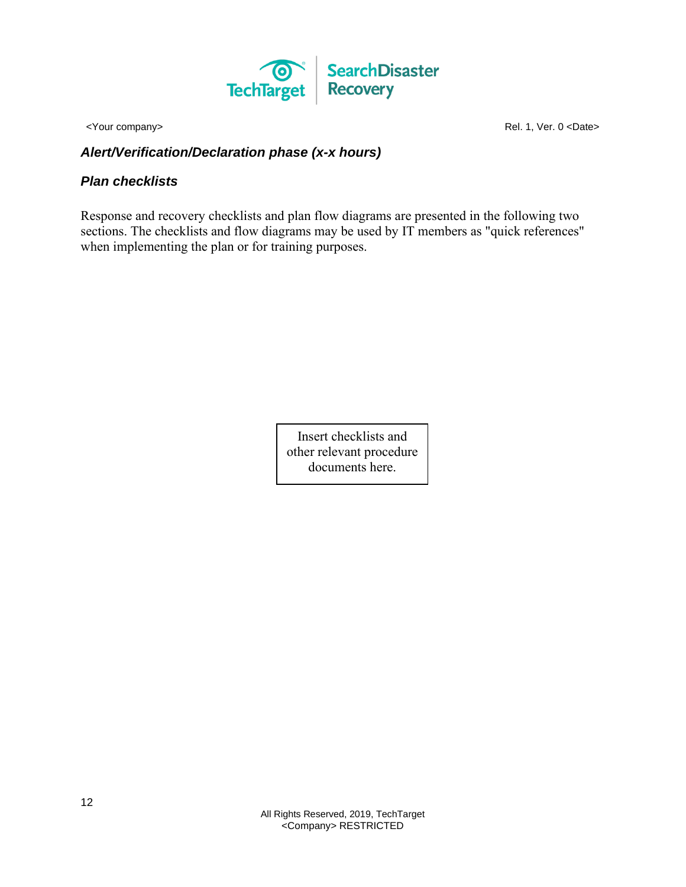

# *Alert/Verification/Declaration phase (x-x hours)*

# *Plan checklists*

Response and recovery checklists and plan flow diagrams are presented in the following two sections. The checklists and flow diagrams may be used by IT members as "quick references" when implementing the plan or for training purposes.

> Insert checklists and other relevant procedure documents here.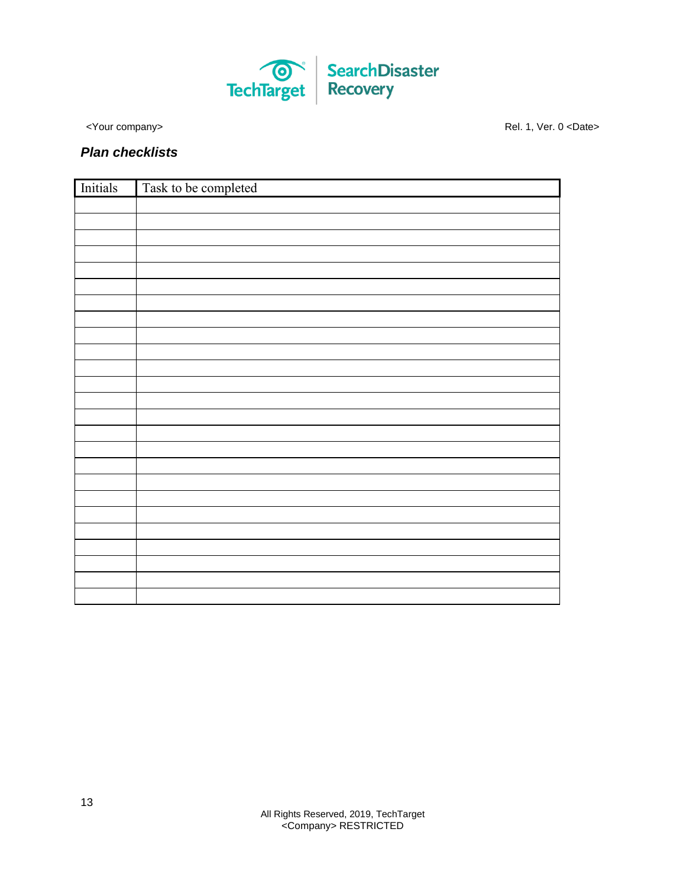

<Your company>
Rel. 1, Ver. 0 <Date>
Rel. 1, Ver. 0 <Date>
Rel. 1, Ver. 0 <Date>
Rel. 1, Ver. 0 <Date>
Rel. 1, Ver. 0 <Date>
Rel. 1, Ver. 0 <Date>
Rel. 1, Ver. 0 <Date>
Rel. 1, Ver. 0 <Date>
Rel. 1, Ver. 0 <Date>

# *Plan checklists*

| Initials | Task to be completed |
|----------|----------------------|
|          |                      |
|          |                      |
|          |                      |
|          |                      |
|          |                      |
|          |                      |
|          |                      |
|          |                      |
|          |                      |
|          |                      |
|          |                      |
|          |                      |
|          |                      |
|          |                      |
|          |                      |
|          |                      |
|          |                      |
|          |                      |
|          |                      |
|          |                      |
|          |                      |
|          |                      |
|          |                      |
|          |                      |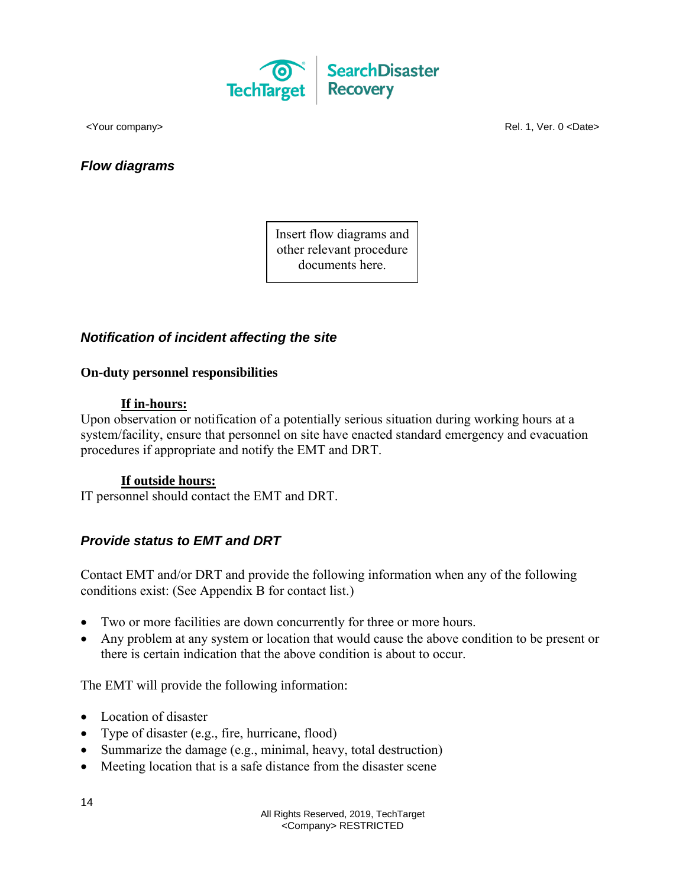

*Flow diagrams*

Provide the extent of the state of the state of the state of the state of the state of the state of the state of the state of the state of the state of the state of the state of the state of the state of the state of the s

Insert flow diagrams and other relevant procedure documents here.

# *Notification of incident affecting the site*

# **On-duty personnel responsibilities**

#### **If in-hours:**

Upon observation or notification of a potentially serious situation during working hours at a system/facility, ensure that personnel on site have enacted standard emergency and evacuation procedures if appropriate and notify the EMT and DRT.

#### **If outside hours:**

IT personnel should contact the EMT and DRT.

# *Provide status to EMT and DRT*

Contact EMT and/or DRT and provide the following information when any of the following conditions exist: (See Appendix B for contact list.)

- Two or more facilities are down concurrently for three or more hours.
- Any problem at any system or location that would cause the above condition to be present or there is certain indication that the above condition is about to occur.

The EMT will provide the following information:

- Location of disaster
- Type of disaster (e.g., fire, hurricane, flood)
- Summarize the damage (e.g., minimal, heavy, total destruction)
- Meeting location that is a safe distance from the disaster scene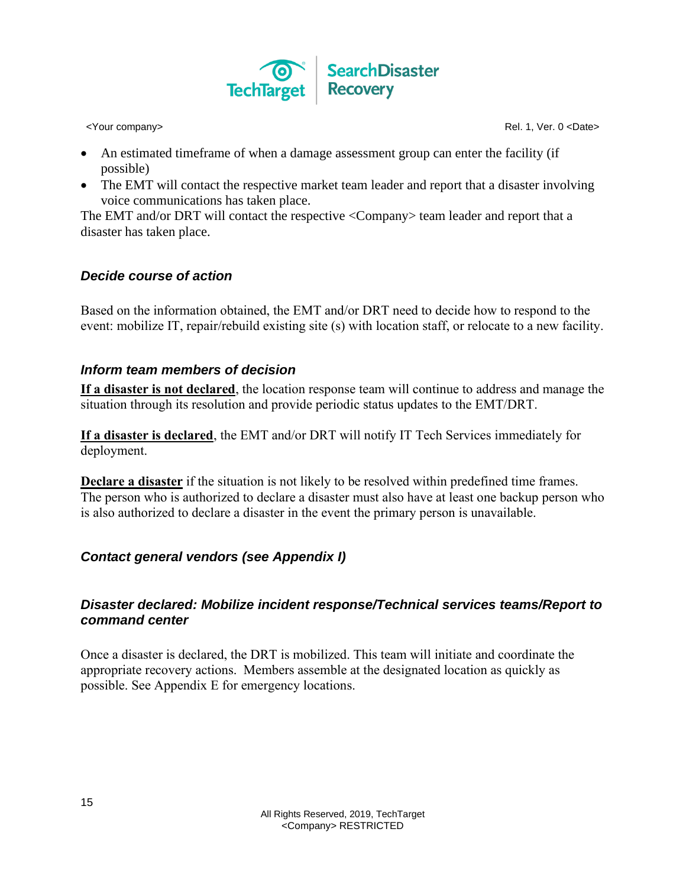

- An estimated timeframe of when a damage assessment group can enter the facility (if possible)
- The EMT will contact the respective market team leader and report that a disaster involving voice communications has taken place.

The EMT and/or DRT will contact the respective <Company> team leader and report that a disaster has taken place.

# *Decide course of action*

Based on the information obtained, the EMT and/or DRT need to decide how to respond to the event: mobilize IT, repair/rebuild existing site (s) with location staff, or relocate to a new facility.

# *Inform team members of decision*

**If a disaster is not declared**, the location response team will continue to address and manage the situation through its resolution and provide periodic status updates to the EMT/DRT.

**If a disaster is declared**, the EMT and/or DRT will notify IT Tech Services immediately for deployment.

**Declare a disaster** if the situation is not likely to be resolved within predefined time frames. The person who is authorized to declare a disaster must also have at least one backup person who is also authorized to declare a disaster in the event the primary person is unavailable.

# *Contact general vendors (see Appendix I)*

# *Disaster declared: Mobilize incident response/Technical services teams/Report to command center*

Once a disaster is declared, the DRT is mobilized. This team will initiate and coordinate the appropriate recovery actions. Members assemble at the designated location as quickly as possible. See Appendix E for emergency locations.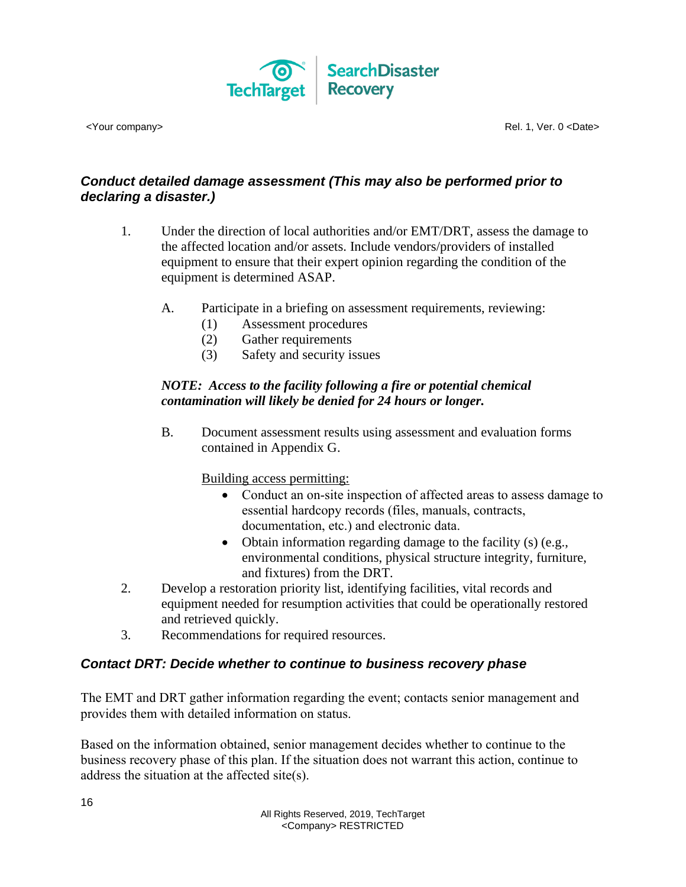

# *Conduct detailed damage assessment (This may also be performed prior to declaring a disaster.)*

- 1. Under the direction of local authorities and/or EMT/DRT, assess the damage to the affected location and/or assets. Include vendors/providers of installed equipment to ensure that their expert opinion regarding the condition of the equipment is determined ASAP.
	- A. Participate in a briefing on assessment requirements, reviewing:
		- (1) Assessment procedures
		- (2) Gather requirements
		- (3) Safety and security issues

# *NOTE: Access to the facility following a fire or potential chemical contamination will likely be denied for 24 hours or longer.*

B. Document assessment results using assessment and evaluation forms contained in Appendix G.

Building access permitting:

- Conduct an on-site inspection of affected areas to assess damage to essential hardcopy records (files, manuals, contracts, documentation, etc.) and electronic data.
- Obtain information regarding damage to the facility (s) (e.g., environmental conditions, physical structure integrity, furniture, and fixtures) from the DRT.
- 2. Develop a restoration priority list, identifying facilities, vital records and equipment needed for resumption activities that could be operationally restored and retrieved quickly.
- 3. Recommendations for required resources.

# *Contact DRT: Decide whether to continue to business recovery phase*

The EMT and DRT gather information regarding the event; contacts senior management and provides them with detailed information on status.

Based on the information obtained, senior management decides whether to continue to the business recovery phase of this plan. If the situation does not warrant this action, continue to address the situation at the affected site(s).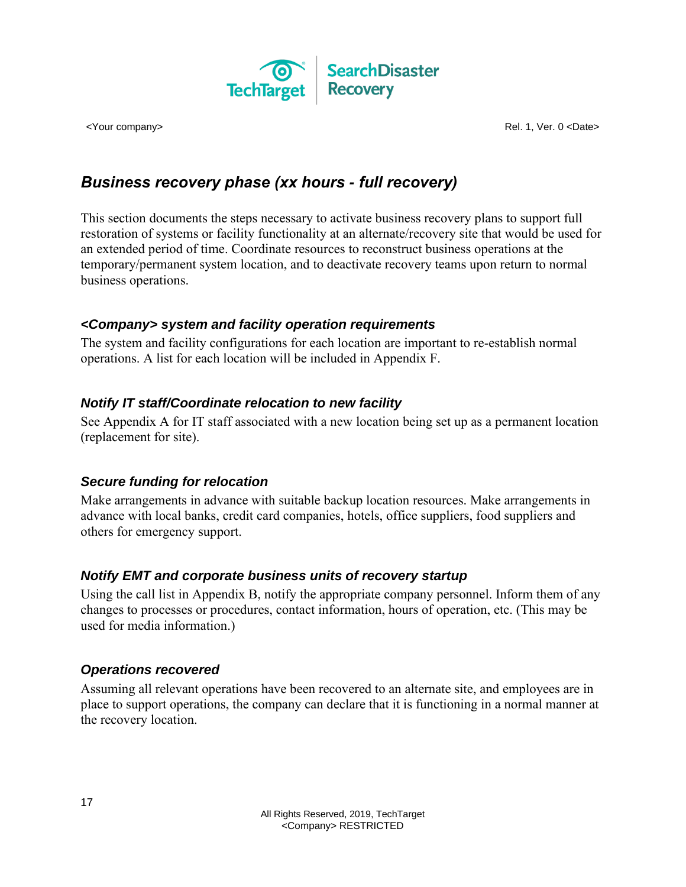

# *Business recovery phase (xx hours - full recovery)*

This section documents the steps necessary to activate business recovery plans to support full restoration of systems or facility functionality at an alternate/recovery site that would be used for an extended period of time. Coordinate resources to reconstruct business operations at the temporary/permanent system location, and to deactivate recovery teams upon return to normal business operations.

# *<Company> system and facility operation requirements*

The system and facility configurations for each location are important to re-establish normal operations. A list for each location will be included in Appendix F.

# *Notify IT staff/Coordinate relocation to new facility*

See Appendix A for IT staff associated with a new location being set up as a permanent location (replacement for site).

# *Secure funding for relocation*

Make arrangements in advance with suitable backup location resources. Make arrangements in advance with local banks, credit card companies, hotels, office suppliers, food suppliers and others for emergency support.

# *Notify EMT and corporate business units of recovery startup*

Using the call list in Appendix B, notify the appropriate company personnel. Inform them of any changes to processes or procedures, contact information, hours of operation, etc. (This may be used for media information.)

# *Operations recovered*

Assuming all relevant operations have been recovered to an alternate site, and employees are in place to support operations, the company can declare that it is functioning in a normal manner at the recovery location.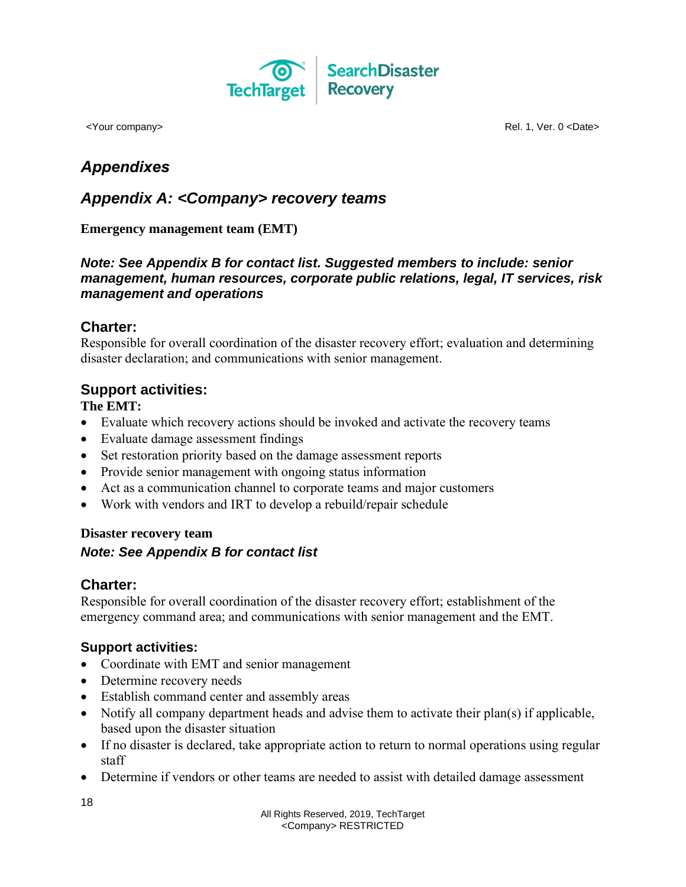

# *Appendixes*

# *Appendix A: <Company> recovery teams*

# **Emergency management team (EMT)**

# *Note: See Appendix B for contact list. Suggested members to include: senior management, human resources, corporate public relations, legal, IT services, risk management and operations*

# **Charter:**

Responsible for overall coordination of the disaster recovery effort; evaluation and determining disaster declaration; and communications with senior management.

# **Support activities:**

# **The EMT:**

- Evaluate which recovery actions should be invoked and activate the recovery teams
- Evaluate damage assessment findings
- Set restoration priority based on the damage assessment reports
- Provide senior management with ongoing status information
- Act as a communication channel to corporate teams and major customers
- Work with vendors and IRT to develop a rebuild/repair schedule

#### **Disaster recovery team**

# *Note: See Appendix B for contact list*

# **Charter:**

Responsible for overall coordination of the disaster recovery effort; establishment of the emergency command area; and communications with senior management and the EMT.

# **Support activities:**

- Coordinate with EMT and senior management
- Determine recovery needs
- Establish command center and assembly areas
- Notify all company department heads and advise them to activate their plan(s) if applicable, based upon the disaster situation
- If no disaster is declared, take appropriate action to return to normal operations using regular staff
- Determine if vendors or other teams are needed to assist with detailed damage assessment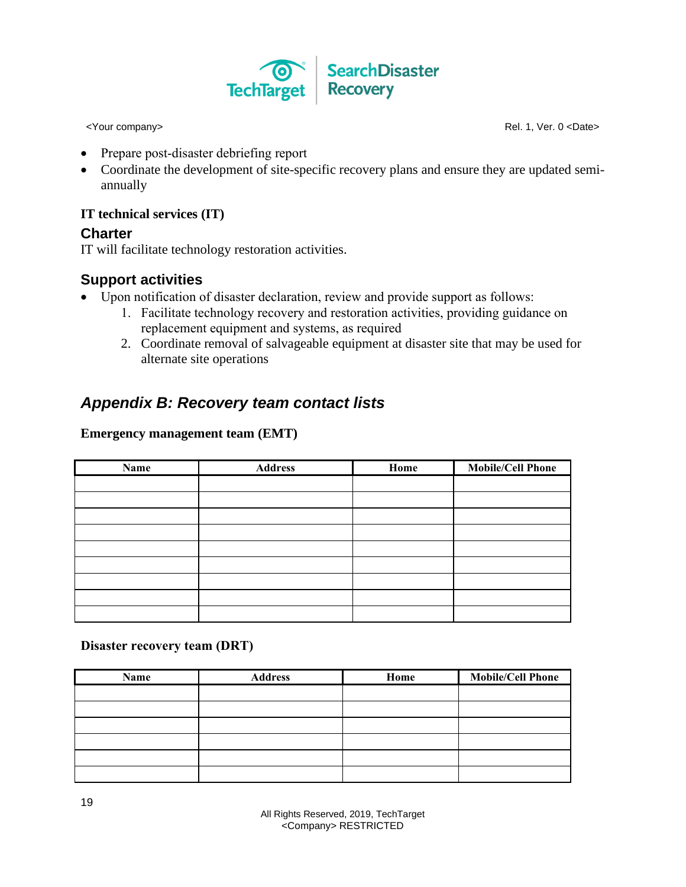

- Prepare post-disaster debriefing report
- Coordinate the development of site-specific recovery plans and ensure they are updated semiannually

#### **IT technical services (IT)**

# **Charter**

IT will facilitate technology restoration activities.

# **Support activities**

- Upon notification of disaster declaration, review and provide support as follows:
	- 1. Facilitate technology recovery and restoration activities, providing guidance on replacement equipment and systems, as required
	- 2. Coordinate removal of salvageable equipment at disaster site that may be used for alternate site operations

# *Appendix B: Recovery team contact lists*

#### **Emergency management team (EMT)**

| Name | <b>Address</b> | Home | <b>Mobile/Cell Phone</b> |
|------|----------------|------|--------------------------|
|      |                |      |                          |
|      |                |      |                          |
|      |                |      |                          |
|      |                |      |                          |
|      |                |      |                          |
|      |                |      |                          |
|      |                |      |                          |
|      |                |      |                          |
|      |                |      |                          |

#### **Disaster recovery team (DRT)**

| Name | <b>Address</b> | Home | <b>Mobile/Cell Phone</b> |
|------|----------------|------|--------------------------|
|      |                |      |                          |
|      |                |      |                          |
|      |                |      |                          |
|      |                |      |                          |
|      |                |      |                          |
|      |                |      |                          |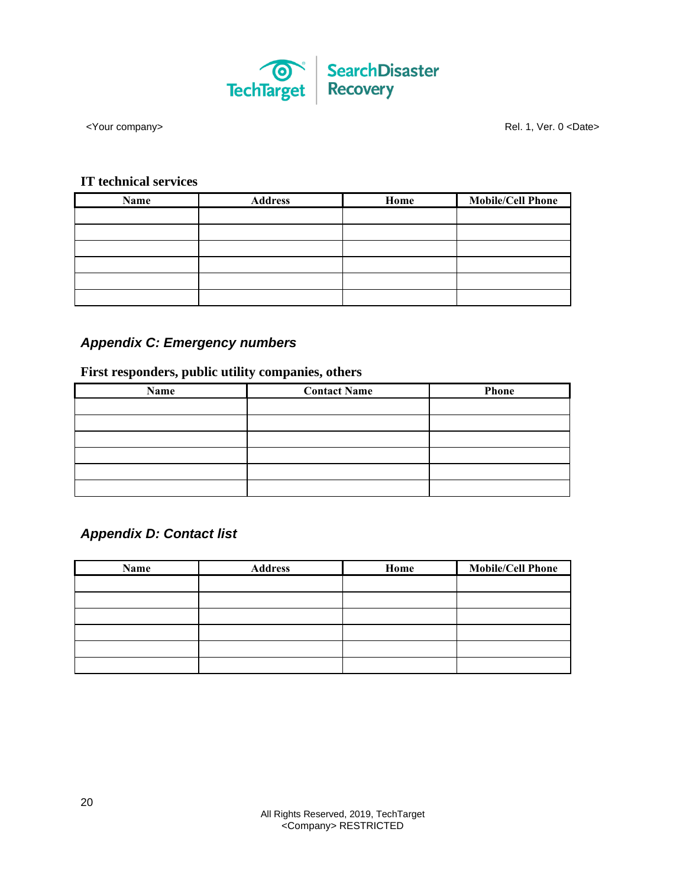

<Your company>
Rel. 1, Ver. 0 <Date>
Rel. 1, Ver. 0 <Date>
Rel. 1, Ver. 0 <Date>
Rel. 1, Ver. 0 <Date>
Rel. 1, Ver. 0 <Date>
Rel. 1, Ver. 0 <Date>
Rel. 1, Ver. 0 <Date>

#### **IT technical services**

| Name | <b>Address</b> | Home | <b>Mobile/Cell Phone</b> |
|------|----------------|------|--------------------------|
|      |                |      |                          |
|      |                |      |                          |
|      |                |      |                          |
|      |                |      |                          |
|      |                |      |                          |
|      |                |      |                          |

# *Appendix C: Emergency numbers*

# **First responders, public utility companies, others**

| Name | <b>Contact Name</b> | Phone |
|------|---------------------|-------|
|      |                     |       |
|      |                     |       |
|      |                     |       |
|      |                     |       |
|      |                     |       |
|      |                     |       |

# *Appendix D: Contact list*

| Name | <b>Address</b> | Home | <b>Mobile/Cell Phone</b> |
|------|----------------|------|--------------------------|
|      |                |      |                          |
|      |                |      |                          |
|      |                |      |                          |
|      |                |      |                          |
|      |                |      |                          |
|      |                |      |                          |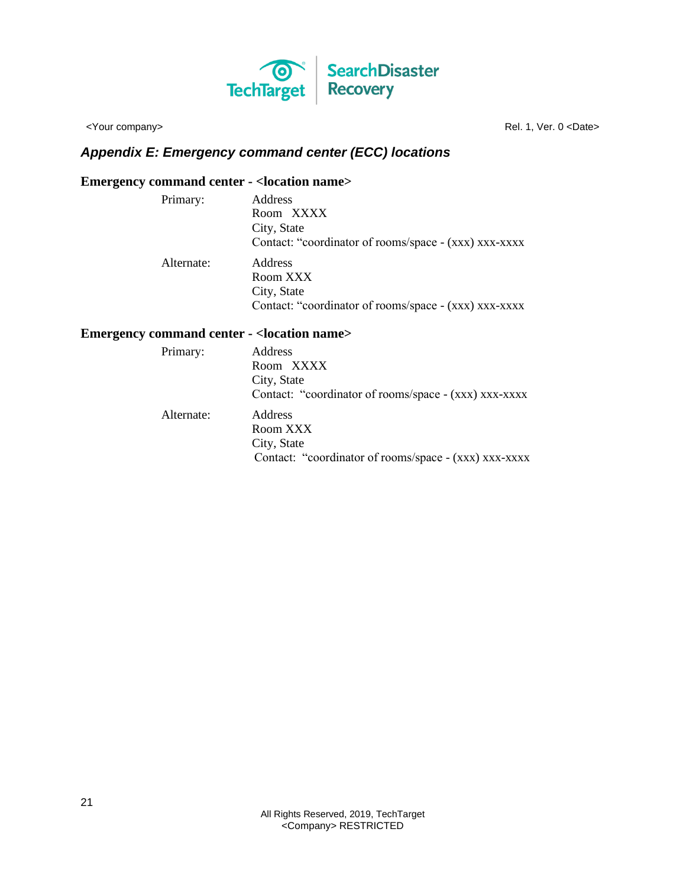

<Your company>
Rel. 1, Ver. 0 <Date>
Rel. 1, Ver. 0 <Date>
Rel. 1, Ver. 0 <Date>
Rel. 1, Ver. 0 <Date>
Rel. 1, Ver. 0 <Date>
Rel. 1, Ver. 0 <Date>
Rel. 1, Ver. 0 <Date>

# *Appendix E: Emergency command center (ECC) locations*

#### **Emergency command center - <location name>**

| Primary:   | Address<br>Room XXXX<br>City, State<br>Contact: "coordinator of rooms/space - (xxx) xxx-xxxx |
|------------|----------------------------------------------------------------------------------------------|
| Alternate: | Address<br>Room XXX<br>City, State<br>Contact: "coordinator of rooms/space - (xxx) xxx-xxxx  |

#### **Emergency command center - <location name>**

| Primary:   | Address<br>Room XXXX<br>City, State<br>Contact: "coordinator of rooms/space - (xxx) xxx-xxxx |
|------------|----------------------------------------------------------------------------------------------|
| Alternate: | Address<br>Room XXX<br>City, State<br>Contact: "coordinator of rooms/space - (xxx) xxx-xxxx  |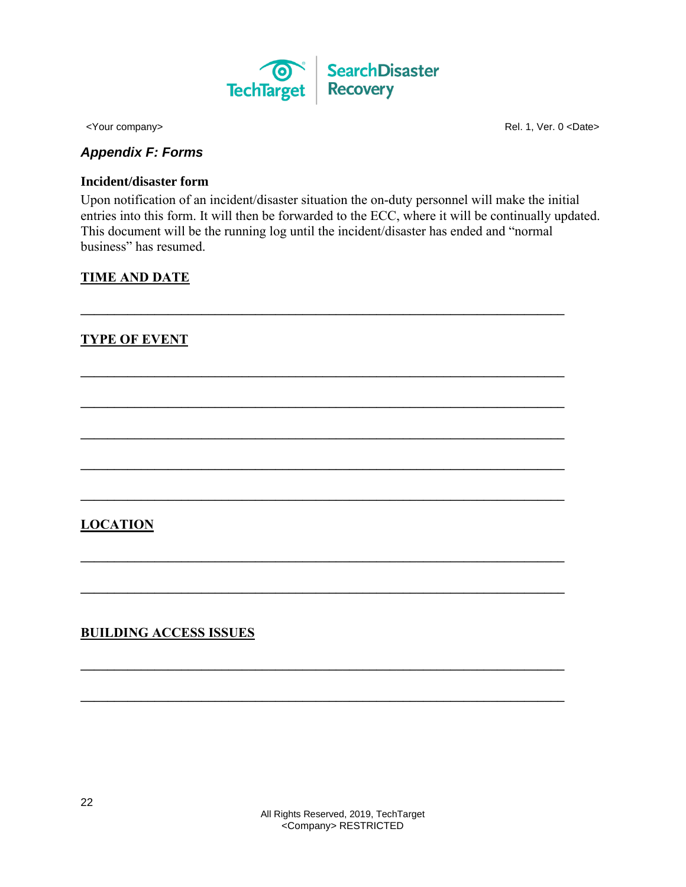

# *Appendix F: Forms*

# **Incident/disaster form**

Upon notification of an incident/disaster situation the on-duty personnel will make the initial entries into this form. It will then be forwarded to the ECC, where it will be continually updated. This document will be the running log until the incident/disaster has ended and "normal business" has resumed.

 $\mathcal{L}_\mathcal{L} = \mathcal{L}_\mathcal{L} - \mathcal{L}_\mathcal{L}$ 

 $\mathcal{L}_\mathcal{L} = \mathcal{L}_\mathcal{L} - \mathcal{L}_\mathcal{L}$ 

 $\mathcal{L}_\mathcal{L} = \{ \mathcal{L}_\mathcal{L} = \{ \mathcal{L}_\mathcal{L} = \{ \mathcal{L}_\mathcal{L} = \{ \mathcal{L}_\mathcal{L} = \{ \mathcal{L}_\mathcal{L} = \{ \mathcal{L}_\mathcal{L} = \{ \mathcal{L}_\mathcal{L} = \{ \mathcal{L}_\mathcal{L} = \{ \mathcal{L}_\mathcal{L} = \{ \mathcal{L}_\mathcal{L} = \{ \mathcal{L}_\mathcal{L} = \{ \mathcal{L}_\mathcal{L} = \{ \mathcal{L}_\mathcal{L} = \{ \mathcal{L}_\mathcal{$ 

 $\mathcal{L}_\mathcal{L} = \mathcal{L}_\mathcal{L} - \mathcal{L}_\mathcal{L}$ 

 $\mathcal{L}_\mathcal{L} = \mathcal{L}_\mathcal{L} - \mathcal{L}_\mathcal{L}$ 

 $\mathcal{L}_\mathcal{L} = \mathcal{L}_\mathcal{L} - \mathcal{L}_\mathcal{L}$ 

 $\mathcal{L}_\mathcal{L} = \mathcal{L}_\mathcal{L} - \mathcal{L}_\mathcal{L}$ 

 $\mathcal{L}_\mathcal{L} = \mathcal{L}_\mathcal{L} - \mathcal{L}_\mathcal{L}$ 

 $\mathcal{L}_\mathcal{L} = \mathcal{L}_\mathcal{L} - \mathcal{L}_\mathcal{L}$ 

 $\mathcal{L}_\mathcal{L} = \{ \mathcal{L}_\mathcal{L} = \{ \mathcal{L}_\mathcal{L} = \{ \mathcal{L}_\mathcal{L} = \{ \mathcal{L}_\mathcal{L} = \{ \mathcal{L}_\mathcal{L} = \{ \mathcal{L}_\mathcal{L} = \{ \mathcal{L}_\mathcal{L} = \{ \mathcal{L}_\mathcal{L} = \{ \mathcal{L}_\mathcal{L} = \{ \mathcal{L}_\mathcal{L} = \{ \mathcal{L}_\mathcal{L} = \{ \mathcal{L}_\mathcal{L} = \{ \mathcal{L}_\mathcal{L} = \{ \mathcal{L}_\mathcal{$ 

# **TIME AND DATE**

# **TYPE OF EVENT**

# **LOCATION**

# **BUILDING ACCESS ISSUES**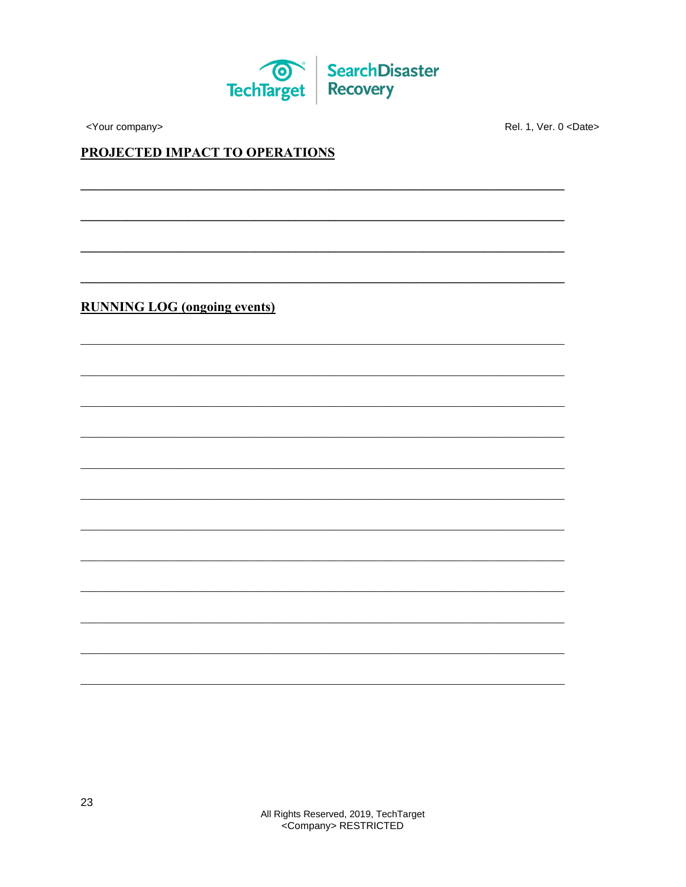

<Your company>

Rel. 1, Ver. 0 <Date>

# PROJECTED IMPACT TO OPERATIONS

**RUNNING LOG (ongoing events)**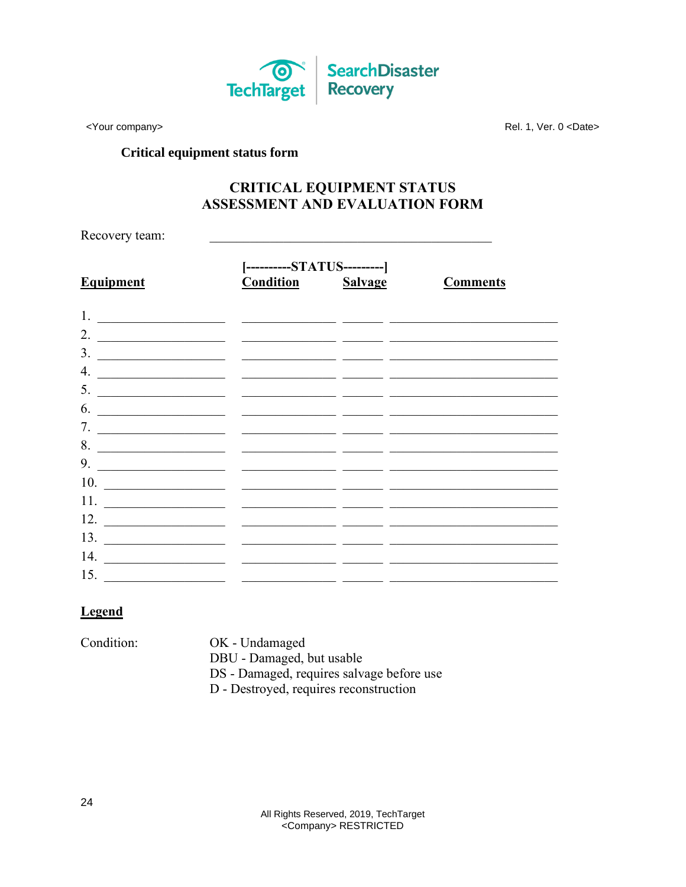

<Your company>

Rel. 1, Ver. 0 <Date>

#### **Critical equipment status form**

# **CRITICAL EQUIPMENT STATUS ASSESSMENT AND EVALUATION FORM**

Recovery team:

| <b>Equipment</b>                                                                                                              | [----------STATUS---------]<br><b>Condition</b>                                                                                                                                                                                      | <b>Salvage</b> | <b>Comments</b> |
|-------------------------------------------------------------------------------------------------------------------------------|--------------------------------------------------------------------------------------------------------------------------------------------------------------------------------------------------------------------------------------|----------------|-----------------|
| 1.                                                                                                                            | <u> 1989 - Johann John Harry Harry Harry Harry Harry Harry Harry Harry Harry Harry Harry Harry Harry Harry Harry Harry Harry Harry Harry Harry Harry Harry Harry Harry Harry Harry Harry Harry Harry Harry Harry Harry Harry Har</u> |                |                 |
| 2.                                                                                                                            |                                                                                                                                                                                                                                      |                |                 |
| 3.                                                                                                                            |                                                                                                                                                                                                                                      |                |                 |
| 4.                                                                                                                            |                                                                                                                                                                                                                                      |                |                 |
| 5.                                                                                                                            |                                                                                                                                                                                                                                      |                |                 |
| 6.                                                                                                                            |                                                                                                                                                                                                                                      |                |                 |
| 7.<br><u> Alexandro Alexandro (Alexandro Alexandro Alexandro Alexandro Alexandro Alexandro Alexandro Alexandro Alexandro </u> |                                                                                                                                                                                                                                      |                |                 |
| 8.                                                                                                                            |                                                                                                                                                                                                                                      |                |                 |
| 9.                                                                                                                            |                                                                                                                                                                                                                                      |                |                 |
| 10.                                                                                                                           |                                                                                                                                                                                                                                      |                |                 |
| 11.                                                                                                                           |                                                                                                                                                                                                                                      |                |                 |
| 12.                                                                                                                           |                                                                                                                                                                                                                                      |                |                 |
| 13.                                                                                                                           |                                                                                                                                                                                                                                      |                |                 |
| 14.                                                                                                                           |                                                                                                                                                                                                                                      |                |                 |
| 15.                                                                                                                           |                                                                                                                                                                                                                                      |                |                 |

# **Legend**

Condition: OK - Undamaged DBU - Damaged, but usable DS - Damaged, requires salvage before use D - Destroyed, requires reconstruction